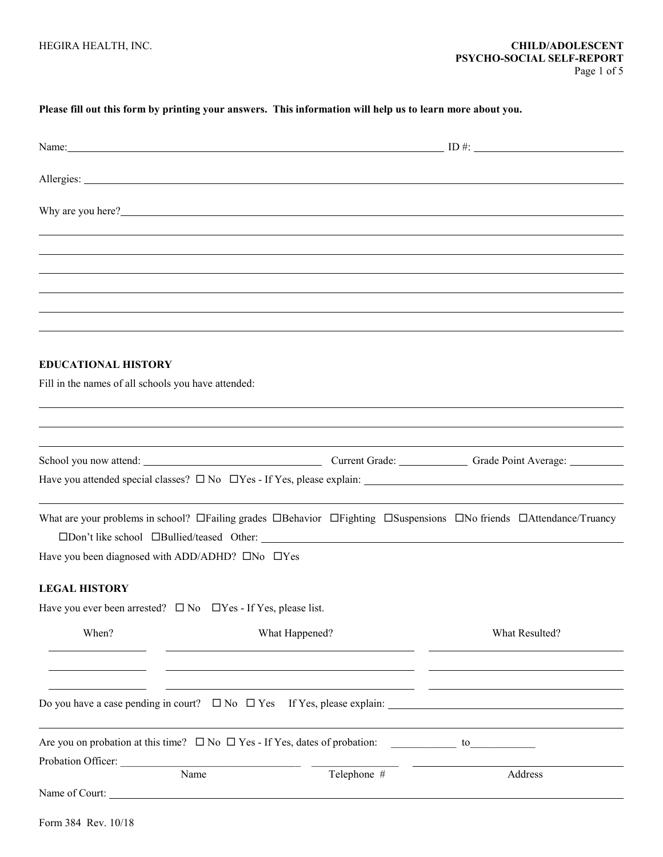## **Please fill out this form by printing your answers. This information will help us to learn more about you.**

|                                                                                   |                                                                                |                                                                                                                                                                                                                                      | Name: $\qquad \qquad \text{ID } \#$ :                                                                                                                  |
|-----------------------------------------------------------------------------------|--------------------------------------------------------------------------------|--------------------------------------------------------------------------------------------------------------------------------------------------------------------------------------------------------------------------------------|--------------------------------------------------------------------------------------------------------------------------------------------------------|
|                                                                                   |                                                                                |                                                                                                                                                                                                                                      |                                                                                                                                                        |
|                                                                                   |                                                                                | Why are you here?<br><u> Letting</u> the contract of the contract of the contract of the contract of the contract of the contract of the contract of the contract of the contract of the contract of the contract of the contract of |                                                                                                                                                        |
|                                                                                   |                                                                                |                                                                                                                                                                                                                                      |                                                                                                                                                        |
|                                                                                   |                                                                                |                                                                                                                                                                                                                                      |                                                                                                                                                        |
|                                                                                   |                                                                                |                                                                                                                                                                                                                                      |                                                                                                                                                        |
|                                                                                   |                                                                                |                                                                                                                                                                                                                                      |                                                                                                                                                        |
|                                                                                   |                                                                                |                                                                                                                                                                                                                                      |                                                                                                                                                        |
|                                                                                   |                                                                                |                                                                                                                                                                                                                                      |                                                                                                                                                        |
| <b>EDUCATIONAL HISTORY</b><br>Fill in the names of all schools you have attended: |                                                                                | ,我们也不会有什么?""我们的人,我们也不会有什么?""我们的人,我们也不会有什么?""我们的人,我们也不会有什么?""我们的人,我们也不会有什么?""我们的人                                                                                                                                                     |                                                                                                                                                        |
|                                                                                   |                                                                                |                                                                                                                                                                                                                                      |                                                                                                                                                        |
|                                                                                   |                                                                                |                                                                                                                                                                                                                                      |                                                                                                                                                        |
|                                                                                   |                                                                                |                                                                                                                                                                                                                                      | School you now attend: Current Grade: Current Grade: Grade Point Average: Current Grade:                                                               |
|                                                                                   |                                                                                |                                                                                                                                                                                                                                      |                                                                                                                                                        |
|                                                                                   | Have you been diagnosed with ADD/ADHD? □No □Yes                                |                                                                                                                                                                                                                                      | What are your problems in school? $\Box$ Failing grades $\Box$ Behavior $\Box$ Fighting $\Box$ Suspensions $\Box$ No friends $\Box$ Attendance/Truancy |
|                                                                                   |                                                                                |                                                                                                                                                                                                                                      |                                                                                                                                                        |
| <b>LEGAL HISTORY</b>                                                              |                                                                                |                                                                                                                                                                                                                                      |                                                                                                                                                        |
|                                                                                   | Have you ever been arrested? $\square$ No $\square$ Yes - If Yes, please list. |                                                                                                                                                                                                                                      |                                                                                                                                                        |
| When?                                                                             |                                                                                | What Happened?                                                                                                                                                                                                                       | What Resulted?                                                                                                                                         |
|                                                                                   |                                                                                |                                                                                                                                                                                                                                      |                                                                                                                                                        |
|                                                                                   |                                                                                |                                                                                                                                                                                                                                      |                                                                                                                                                        |
|                                                                                   |                                                                                |                                                                                                                                                                                                                                      |                                                                                                                                                        |
|                                                                                   |                                                                                |                                                                                                                                                                                                                                      |                                                                                                                                                        |
|                                                                                   |                                                                                | Are you on probation at this time? $\square$ No $\square$ Yes - If Yes, dates of probation:                                                                                                                                          |                                                                                                                                                        |
| Probation Officer:                                                                | Name                                                                           | Telephone #                                                                                                                                                                                                                          | Address                                                                                                                                                |
|                                                                                   | Name of Court:                                                                 |                                                                                                                                                                                                                                      |                                                                                                                                                        |
|                                                                                   |                                                                                |                                                                                                                                                                                                                                      |                                                                                                                                                        |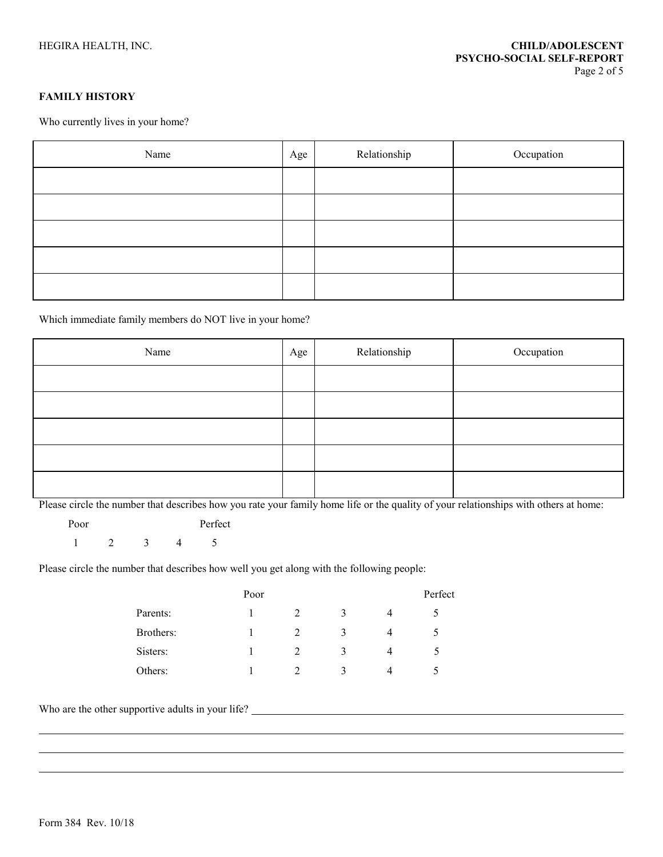## **FAMILY HISTORY**

Who currently lives in your home?

| Name | Age | Relationship | Occupation |
|------|-----|--------------|------------|
|      |     |              |            |
|      |     |              |            |
|      |     |              |            |
|      |     |              |            |
|      |     |              |            |

Which immediate family members do NOT live in your home?

| Name | Age | Relationship | Occupation |
|------|-----|--------------|------------|
|      |     |              |            |
|      |     |              |            |
|      |     |              |            |
|      |     |              |            |
|      |     |              |            |

Please circle the number that describes how you rate your family home life or the quality of your relationships with others at home:

Poor Perfect 1 2 3 4 5

Please circle the number that describes how well you get along with the following people:

|           | Poor |               |   | Perfect |
|-----------|------|---------------|---|---------|
| Parents:  |      |               | 3 |         |
| Brothers: |      |               | 3 |         |
| Sisters:  |      | $\mathcal{L}$ | 3 |         |
| Others:   |      |               | 2 |         |

Who are the other supportive adults in your life?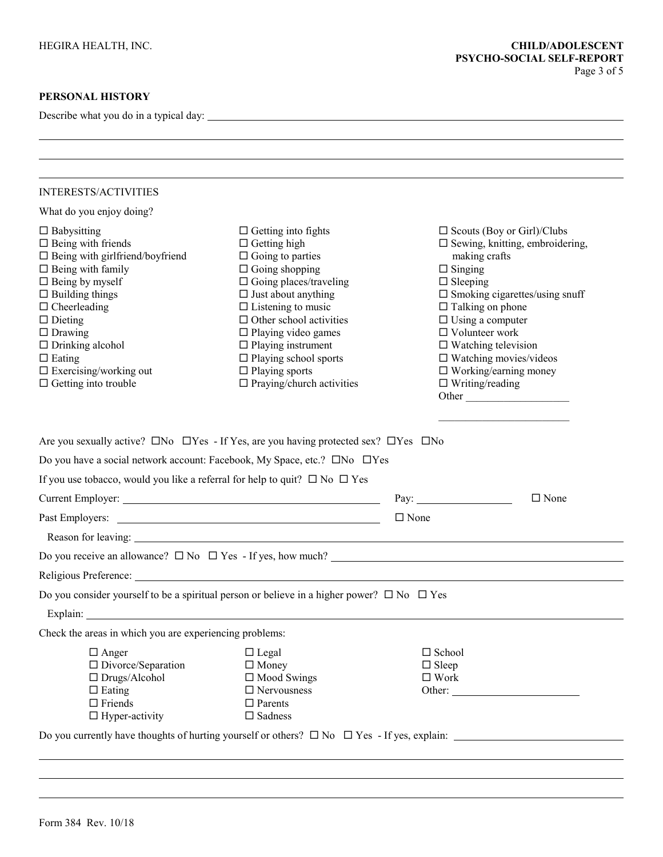Describe what you do in a typical day:

| <b>INTERESTS/ACTIVITIES</b>                                                                                                                                                                                                                                                                                                                         |                                                                                                                                                                                                                                                                                                                                                                                                |                                                                                                                                                                                                                                                                                                                                                                                                               |
|-----------------------------------------------------------------------------------------------------------------------------------------------------------------------------------------------------------------------------------------------------------------------------------------------------------------------------------------------------|------------------------------------------------------------------------------------------------------------------------------------------------------------------------------------------------------------------------------------------------------------------------------------------------------------------------------------------------------------------------------------------------|---------------------------------------------------------------------------------------------------------------------------------------------------------------------------------------------------------------------------------------------------------------------------------------------------------------------------------------------------------------------------------------------------------------|
| What do you enjoy doing?                                                                                                                                                                                                                                                                                                                            |                                                                                                                                                                                                                                                                                                                                                                                                |                                                                                                                                                                                                                                                                                                                                                                                                               |
| $\Box$ Babysitting<br>$\Box$ Being with friends<br>$\Box$ Being with girlfriend/boyfriend<br>$\Box$ Being with family<br>$\Box$ Being by myself<br>$\Box$ Building things<br>$\Box$ Cheerleading<br>$\Box$ Dieting<br>$\Box$ Drawing<br>$\Box$ Drinking alcohol<br>$\Box$ Eating<br>$\Box$<br>Exercising/working out<br>$\Box$ Getting into trouble | $\Box$ Getting into fights<br>$\Box$ Getting high<br>$\Box$ Going to parties<br>$\Box$ Going shopping<br>$\Box$ Going places/traveling<br>$\square$ Just about anything<br>$\Box$ Listening to music<br>$\Box$ Other school activities<br>$\Box$ Playing video games<br>$\Box$ Playing instrument<br>$\Box$ Playing school sports<br>$\Box$ Playing sports<br>$\Box$ Praying/church activities | $\square$ Scouts (Boy or Girl)/Clubs<br>$\square$ Sewing, knitting, embroidering,<br>making crafts<br>$\Box$ Singing<br>$\Box$ Sleeping<br>$\square$ Smoking cigarettes/using snuff<br>$\Box$ Talking on phone<br>$\square$ Using a computer<br>$\Box$ Volunteer work<br>$\square$ Watching television<br>$\square$ Watching movies/videos<br>$\Box$ Working/earning money<br>$\Box$ Writing/reading<br>Other |
|                                                                                                                                                                                                                                                                                                                                                     |                                                                                                                                                                                                                                                                                                                                                                                                |                                                                                                                                                                                                                                                                                                                                                                                                               |
|                                                                                                                                                                                                                                                                                                                                                     | Are you sexually active? $\square$ No $\square$ Yes - If Yes, are you having protected sex? $\square$ Yes $\square$ No<br>Do you have a social network account: Facebook, My Space, etc.? □No □Yes                                                                                                                                                                                             |                                                                                                                                                                                                                                                                                                                                                                                                               |
| If you use tobacco, would you like a referral for help to quit? $\square$ No $\square$ Yes                                                                                                                                                                                                                                                          |                                                                                                                                                                                                                                                                                                                                                                                                |                                                                                                                                                                                                                                                                                                                                                                                                               |
|                                                                                                                                                                                                                                                                                                                                                     |                                                                                                                                                                                                                                                                                                                                                                                                | Pay: $\qquad \qquad$<br>$\Box$ None<br>$\Box$ None                                                                                                                                                                                                                                                                                                                                                            |
| Past Employers:                                                                                                                                                                                                                                                                                                                                     | <u> 1989 - Johann Barbara, martin amerikan basar dan basa dan basar dan basa dalam basa dalam basa dalam dalam ba</u><br>Reason for leaving: New York Changes and Security and Security and Security and Security and Security and Security and Security and Security and Security and Security and Security and Security and Security and Security and                                        |                                                                                                                                                                                                                                                                                                                                                                                                               |
|                                                                                                                                                                                                                                                                                                                                                     |                                                                                                                                                                                                                                                                                                                                                                                                |                                                                                                                                                                                                                                                                                                                                                                                                               |
|                                                                                                                                                                                                                                                                                                                                                     | Religious Preference: New York Changes and Changes and Changes and Changes and Changes and Changes and Changes and Changes and Changes and Changes and Changes and Changes and Changes and Changes and Changes and Changes and                                                                                                                                                                 |                                                                                                                                                                                                                                                                                                                                                                                                               |
| Explain:                                                                                                                                                                                                                                                                                                                                            | Do you consider yourself to be a spiritual person or believe in a higher power? $\square$ No $\square$ Yes                                                                                                                                                                                                                                                                                     |                                                                                                                                                                                                                                                                                                                                                                                                               |
| Check the areas in which you are experiencing problems:                                                                                                                                                                                                                                                                                             |                                                                                                                                                                                                                                                                                                                                                                                                |                                                                                                                                                                                                                                                                                                                                                                                                               |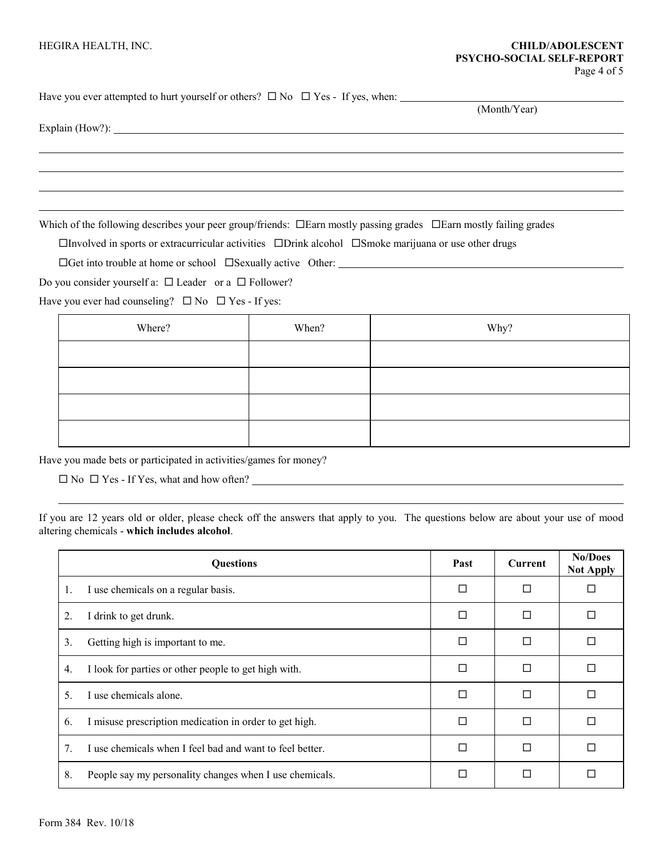(Month/Year)

Have you ever attempted to hurt yourself or others?  $\Box$  No  $\Box$  Yes - If yes, when:

Explain (How?):

Which of the following describes your peer group/friends:  $\Box$  Earn mostly passing grades  $\Box$  Earn mostly failing grades

 $\Box$ Involved in sports or extracurricular activities  $\Box$ Drink alcohol  $\Box$ Smoke marijuana or use other drugs

 $\Box$  Get into trouble at home or school  $\Box$  Sexually active Other:

Do you consider yourself a:  $\Box$  Leader or a  $\Box$  Follower?

Have you ever had counseling?  $\Box$  No  $\Box$  Yes - If yes:

| Where? | When? | Why? |
|--------|-------|------|
|        |       |      |
|        |       |      |
|        |       |      |
|        |       |      |

Have you made bets or participated in activities/games for money?

No Yes - If Yes, what and how often?

If you are 12 years old or older, please check off the answers that apply to you. The questions below are about your use of mood altering chemicals - **which includes alcohol**.

|    | <b>Questions</b>                                         | Past   | Current | No/Does<br><b>Not Apply</b> |
|----|----------------------------------------------------------|--------|---------|-----------------------------|
| 1. | I use chemicals on a regular basis.                      | □      |         |                             |
| 2. | I drink to get drunk.                                    | $\Box$ | П       |                             |
| 3. | Getting high is important to me.                         | П      | П       |                             |
| 4. | I look for parties or other people to get high with.     | П      | П       |                             |
| 5. | I use chemicals alone.                                   | П      | П       |                             |
| 6. | I misuse prescription medication in order to get high.   | П      | П       |                             |
| 7. | I use chemicals when I feel bad and want to feel better. | П      | П       |                             |
| 8. | People say my personality changes when I use chemicals.  | П      | П       |                             |